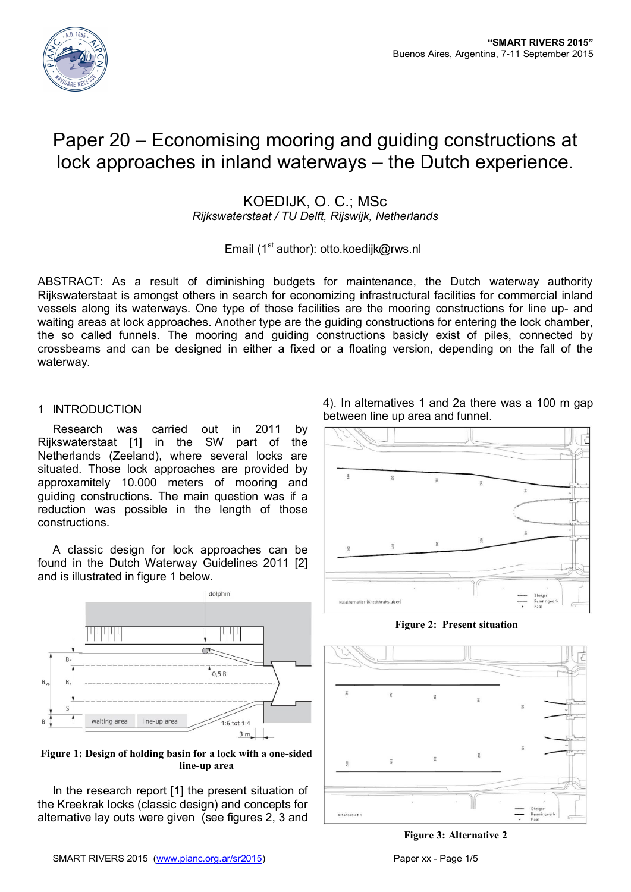

# Paper 20 – Economising mooring and guiding constructions at lock approaches in inland waterways – the Dutch experience.

## KOEDIJK, O. C.; MSc *Rijkswaterstaat / TU Delft, Rijswijk, Netherlands*

# Email (1<sup>st</sup> author): otto.koedijk@rws.nl

ABSTRACT: As a result of diminishing budgets for maintenance, the Dutch waterway authority Rijkswaterstaat is amongst others in search for economizing infrastructural facilities for commercial inland vessels along its waterways. One type of those facilities are the mooring constructions for line up- and waiting areas at lock approaches. Another type are the guiding constructions for entering the lock chamber, the so called funnels. The mooring and guiding constructions basicly exist of piles, connected by crossbeams and can be designed in either a fixed or a floating version, depending on the fall of the waterway.

# 1 INTRODUCTION

Research was carried out in 2011 by Rijkswaterstaat [1] in the SW part of the Netherlands (Zeeland), where several locks are situated. Those lock approaches are provided by approxamitely 10.000 meters of mooring and guiding constructions. The main question was if a reduction was possible in the length of those constructions.

A classic design for lock approaches can be found in the Dutch Waterway Guidelines 2011 [2] and is illustrated in figure 1 below.





In the research report [1] the present situation of the Kreekrak locks (classic design) and concepts for alternative lay outs were given (see figures 2, 3 and





**Figure 2: Present situation**



**Figure 3: Alternative 2**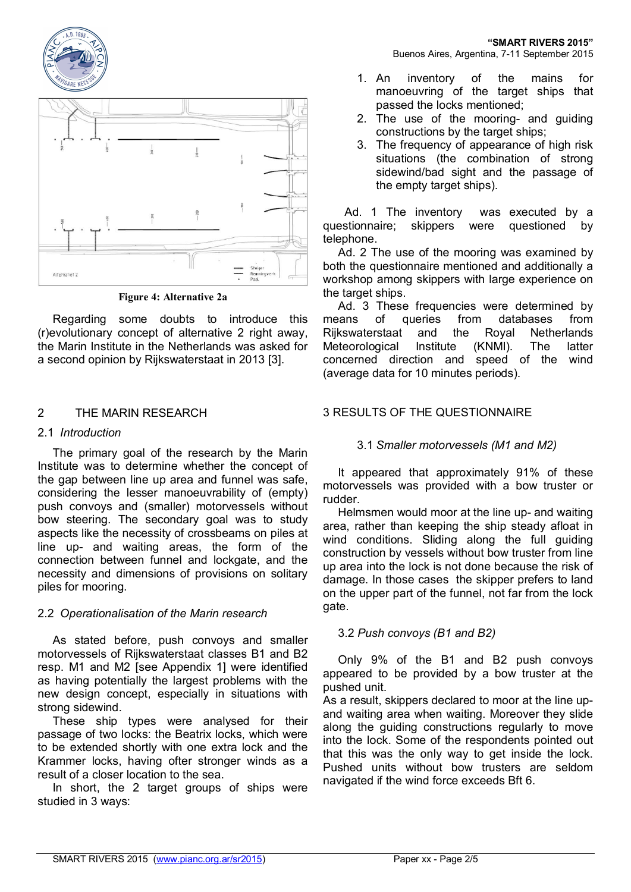



**Figure 4: Alternative 2a**

Regarding some doubts to introduce this (r)evolutionary concept of alternative 2 right away, the Marin Institute in the Netherlands was asked for a second opinion by Rijkswaterstaat in 2013 [3].

# 2 THE MARIN RESEARCH

#### 2.1 *Introduction*

The primary goal of the research by the Marin Institute was to determine whether the concept of the gap between line up area and funnel was safe, considering the lesser manoeuvrability of (empty) push convoys and (smaller) motorvessels without bow steering. The secondary goal was to study aspects like the necessity of crossbeams on piles at line up- and waiting areas, the form of the connection between funnel and lockgate, and the necessity and dimensions of provisions on solitary piles for mooring.

### 2.2 *Operationalisation of the Marin research*

As stated before, push convoys and smaller motorvessels of Rijkswaterstaat classes B1 and B2 resp. M1 and M2 [see Appendix 1] were identified as having potentially the largest problems with the new design concept, especially in situations with strong sidewind.

These ship types were analysed for their passage of two locks: the Beatrix locks, which were to be extended shortly with one extra lock and the Krammer locks, having ofter stronger winds as a result of a closer location to the sea.

In short, the 2 target groups of ships were studied in 3 ways:

- 1. An inventory of the mains for manoeuvring of the target ships that passed the locks mentioned;
- 2. The use of the mooring- and guiding constructions by the target ships;
- 3. The frequency of appearance of high risk situations (the combination of strong sidewind/bad sight and the passage of the empty target ships).

 Ad. 1 The inventory was executed by a questionnaire; skippers were questioned by telephone.

Ad. 2 The use of the mooring was examined by both the questionnaire mentioned and additionally a workshop among skippers with large experience on the target ships.

Ad. 3 These frequencies were determined by means of queries from databases from Rijkswaterstaat and the Royal Netherlands Meteorological Institute (KNMI). The latter concerned direction and speed of the wind (average data for 10 minutes periods).

# 3 RESULTS OF THE QUESTIONNAIRE

### 3.1 *Smaller motorvessels (M1 and M2)*

It appeared that approximately 91% of these motorvessels was provided with a bow truster or rudder.

Helmsmen would moor at the line up- and waiting area, rather than keeping the ship steady afloat in wind conditions. Sliding along the full quiding construction by vessels without bow truster from line up area into the lock is not done because the risk of damage. In those cases the skipper prefers to land on the upper part of the funnel, not far from the lock gate.

### 3.2 *Push convoys (B1 and B2)*

Only 9% of the B1 and B2 push convoys appeared to be provided by a bow truster at the pushed unit.

As a result, skippers declared to moor at the line upand waiting area when waiting. Moreover they slide along the guiding constructions regularly to move into the lock. Some of the respondents pointed out that this was the only way to get inside the lock. Pushed units without bow trusters are seldom navigated if the wind force exceeds Bft 6.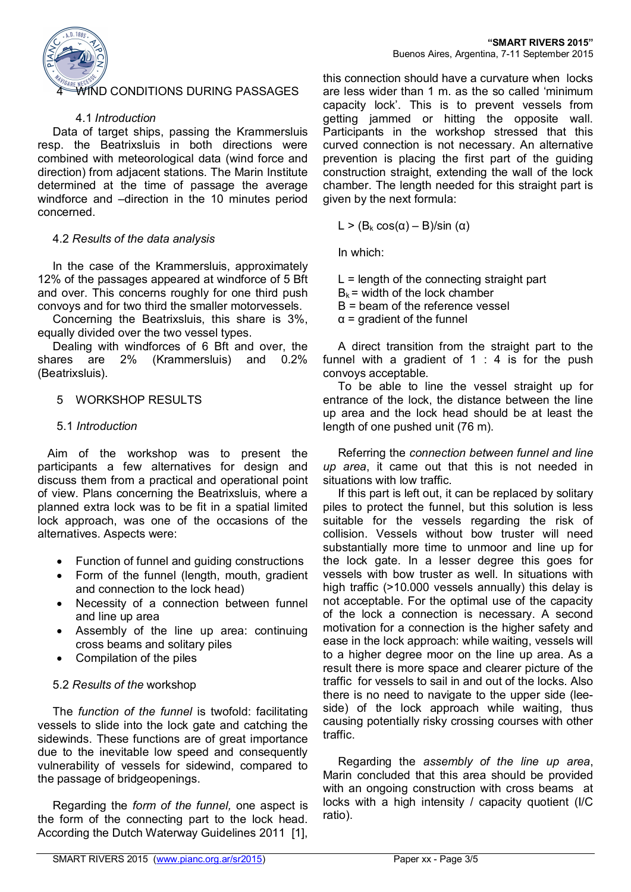

# <u>ND CONDITIONS DURING PASSAGES</u>

#### 4.1 *Introduction*

Data of target ships, passing the Krammersluis resp. the Beatrixsluis in both directions were combined with meteorological data (wind force and direction) from adjacent stations. The Marin Institute determined at the time of passage the average windforce and –direction in the 10 minutes period concerned.

#### 4.2 *Results of the data analysis*

In the case of the Krammersluis, approximately 12% of the passages appeared at windforce of 5 Bft and over. This concerns roughly for one third push convoys and for two third the smaller motorvessels.

Concerning the Beatrixsluis, this share is 3%, equally divided over the two vessel types.

Dealing with windforces of 6 Bft and over, the shares are 2% (Krammersluis) and 0.2% (Beatrixsluis).

#### 5 WORKSHOP RESULTS

#### 5.1 *Introduction*

 Aim of the workshop was to present the participants a few alternatives for design and discuss them from a practical and operational point of view. Plans concerning the Beatrixsluis, where a planned extra lock was to be fit in a spatial limited lock approach, was one of the occasions of the alternatives. Aspects were:

- Function of funnel and guiding constructions
- · Form of the funnel (length, mouth, gradient and connection to the lock head)
- · Necessity of a connection between funnel and line up area
- Assembly of the line up area: continuing cross beams and solitary piles
- · Compilation of the piles

### 5.2 *Results of the* workshop

The *function of the funnel* is twofold: facilitating vessels to slide into the lock gate and catching the sidewinds. These functions are of great importance due to the inevitable low speed and consequently vulnerability of vessels for sidewind, compared to the passage of bridgeopenings.

Regarding the *form of the funnel,* one aspect is the form of the connecting part to the lock head. According the Dutch Waterway Guidelines 2011 [1], this connection should have a curvature when locks are less wider than 1 m. as the so called 'minimum capacity lock'. This is to prevent vessels from getting jammed or hitting the opposite wall. Participants in the workshop stressed that this curved connection is not necessary. An alternative prevention is placing the first part of the guiding construction straight, extending the wall of the lock chamber. The length needed for this straight part is given by the next formula:

L >  $(B_k cos(\alpha) - B)/sin(\alpha)$ 

In which:

 $L =$  length of the connecting straight part  $B_k$  = width of the lock chamber B = beam of the reference vessel  $\alpha$  = gradient of the funnel

A direct transition from the straight part to the funnel with a gradient of  $1 : 4$  is for the push convoys acceptable.

To be able to line the vessel straight up for entrance of the lock, the distance between the line up area and the lock head should be at least the length of one pushed unit (76 m).

Referring the *connection between funnel and line up area*, it came out that this is not needed in situations with low traffic.

If this part is left out, it can be replaced by solitary piles to protect the funnel, but this solution is less suitable for the vessels regarding the risk of collision. Vessels without bow truster will need substantially more time to unmoor and line up for the lock gate. In a lesser degree this goes for vessels with bow truster as well. In situations with high traffic (>10.000 vessels annually) this delay is not acceptable. For the optimal use of the capacity of the lock a connection is necessary. A second motivation for a connection is the higher safety and ease in the lock approach: while waiting, vessels will to a higher degree moor on the line up area. As a result there is more space and clearer picture of the traffic for vessels to sail in and out of the locks. Also there is no need to navigate to the upper side (leeside) of the lock approach while waiting, thus causing potentially risky crossing courses with other traffic.

Regarding the *assembly of the line up area*, Marin concluded that this area should be provided with an ongoing construction with cross beams at locks with a high intensity / capacity quotient (I/C ratio).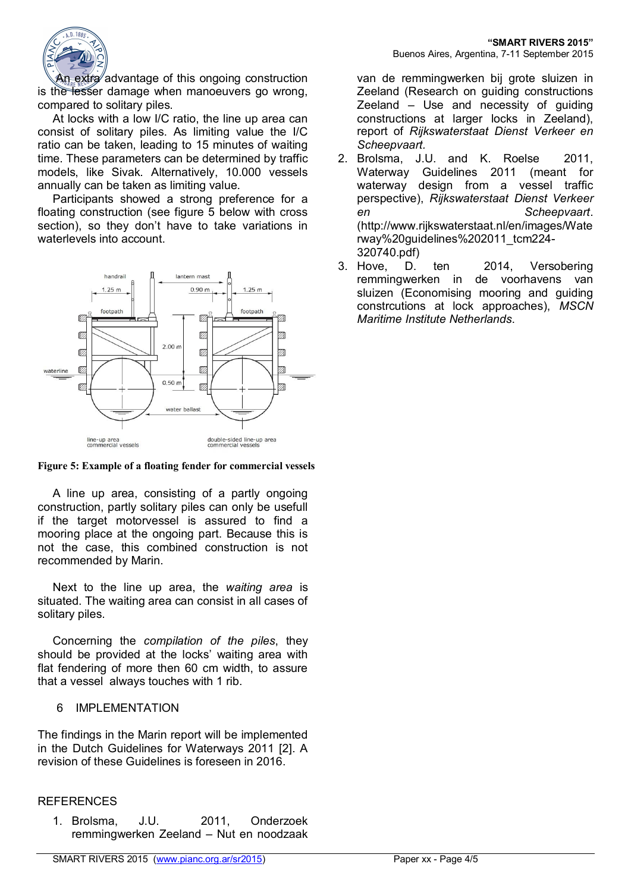

An extra advantage of this ongoing construction is the lesser damage when manoeuvers go wrong. compared to solitary piles.

At locks with a low I/C ratio, the line up area can consist of solitary piles. As limiting value the I/C ratio can be taken, leading to 15 minutes of waiting time. These parameters can be determined by traffic models, like Sivak. Alternatively, 10.000 vessels annually can be taken as limiting value.

Participants showed a strong preference for a floating construction (see figure 5 below with cross section), so they don't have to take variations in waterlevels into account.



**Figure 5: Example of a floating fender for commercial vessels**

A line up area, consisting of a partly ongoing construction, partly solitary piles can only be usefull if the target motorvessel is assured to find a mooring place at the ongoing part. Because this is not the case, this combined construction is not recommended by Marin.

Next to the line up area, the *waiting area* is situated. The waiting area can consist in all cases of solitary piles.

Concerning the *compilation of the piles*, they should be provided at the locks' waiting area with flat fendering of more then 60 cm width, to assure that a vessel always touches with 1 rib.

# 6 IMPLEMENTATION

The findings in the Marin report will be implemented in the Dutch Guidelines for Waterways 2011 [2]. A revision of these Guidelines is foreseen in 2016.

### **REFERENCES**

1. Brolsma, J.U. 2011, Onderzoek remmingwerken Zeeland – Nut en noodzaak

van de remmingwerken bij grote sluizen in Zeeland (Research on guiding constructions Zeeland – Use and necessity of guiding constructions at larger locks in Zeeland), report of *Rijkswaterstaat Dienst Verkeer en Scheepvaart.*

- 2. Brolsma, J.U. and K. Roelse 2011, Waterway Guidelines 2011 (meant for waterway design from a vessel traffic perspective), *Rijkswaterstaat Dienst Verkeer en Scheepvaart*. (http://www.rijkswaterstaat.nl/en/images/Wate rway%20guidelines%202011\_tcm224- 320740.pdf)
- 3. Hove, D. ten 2014, Versobering remmingwerken in de voorhavens van sluizen (Economising mooring and guiding constrcutions at lock approaches), *MSCN Maritime Institute Netherlands*.